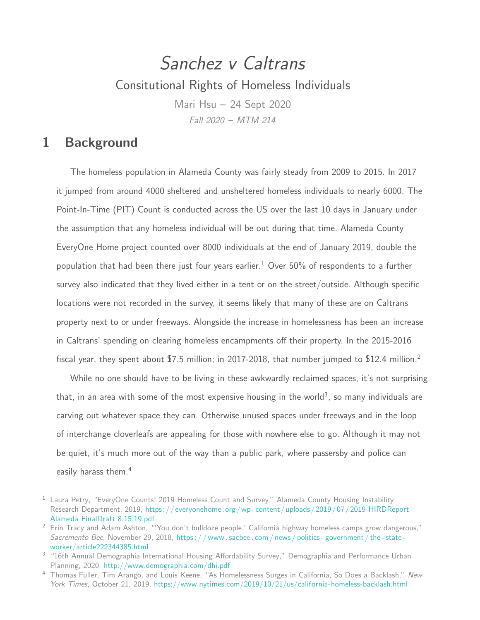# Sanchez v Caltrans Consitutional Rights of Homeless Individuals Mari Hsu – 24 Sept 2020 Fall 2020 – MTM 214

### 1 Background

The homeless population in Alameda County was fairly steady from 2009 to 2015. In 2017 it jumped from around 4000 sheltered and unsheltered homeless individuals to nearly 6000. The Point-In-Time (PIT) Count is conducted across the US over the last 10 days in January under the assumption that any homeless individual will be out during that time. Alameda County EveryOne Home project counted over 8000 individuals at the end of January 2019, double the population that had been there just four years earlier.<sup>1</sup> Over 50% of respondents to a further survey also indicated that they lived either in a tent or on the street/outside. Although specific locations were not recorded in the survey, it seems likely that many of these are on Caltrans property next to or under freeways. Alongside the increase in homelessness has been an increase in Caltrans' spending on clearing homeless encampments off their property. In the 2015-2016 fiscal year, they spent about \$7.5 million; in 2017-2018, that number jumped to \$12.4 million.<sup>2</sup>

While no one should have to be living in these awkwardly reclaimed spaces, it's not surprising that, in an area with some of the most expensive housing in the world $^3$ , so many individuals are carving out whatever space they can. Otherwise unused spaces under freeways and in the loop of interchange cloverleafs are appealing for those with nowhere else to go. Although it may not be quiet, it's much more out of the way than a public park, where passersby and police can easily harass them.<sup>4</sup>

<sup>&</sup>lt;sup>1</sup> Laura Petry, "EveryOne Counts! 2019 Homeless Count and Survey," Alameda County Housing Instability Research Department, 2019, https://everyonehome.org/wp-content/uploads/2019/07/2019\_HIRDReport\_ Alameda\_FinalDraft\_[8.15.19.pdf](https://everyonehome.org/wp-content/uploads/2019/07/2019_HIRDReport_Alameda_FinalDraft_8.15.19.pdf)

<span id="page-0-0"></span><sup>&</sup>lt;sup>2</sup> Erin Tracy and Adam Ashton, "'You don't bulldoze people.' California highway homeless camps grow dangerous," Sacremento Bee, November 29, 2018, https://www.sacbee.com/news/politics-government/the-state[worker/article222344385.html](https://www.sacbee.com/news/politics-government/the-state-worker/article222344385.html)

<sup>&</sup>lt;sup>3</sup> "16th Annual Demographia International Housing Affordability Survey," Demographia and Performance Urban Planning, 2020, <http://www.demographia.com/dhi.pdf>

<sup>&</sup>lt;sup>4</sup> Thomas Fuller, Tim Arango, and Louis Keene, "As Homelessness Surges in California, So Does a Backlash," New York Times, October 21, 2019, <https://www.nytimes.com/2019/10/21/us/california-homeless-backlash.html>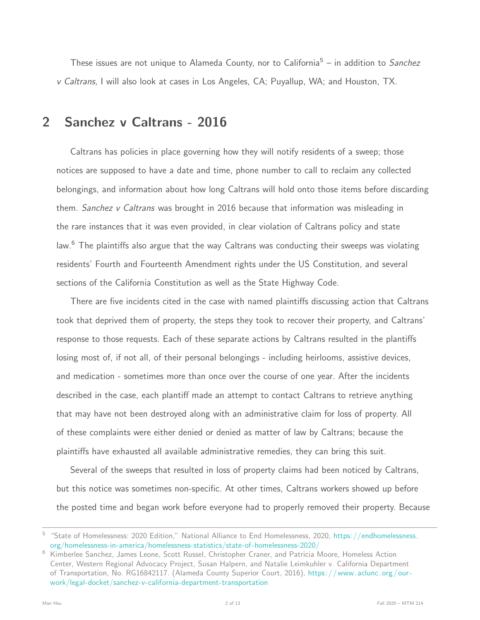These issues are not unique to Alameda County, nor to California<sup>5</sup> – in addition to Sanchez v Caltrans, I will also look at cases in Los Angeles, CA; Puyallup, WA; and Houston, TX.

### 2 Sanchez v Caltrans - 2016

Caltrans has policies in place governing how they will notify residents of a sweep; those notices are supposed to have a date and time, phone number to call to reclaim any collected belongings, and information about how long Caltrans will hold onto those items before discarding them. Sanchez v Caltrans was brought in 2016 because that information was misleading in the rare instances that it was even provided, in clear violation of Caltrans policy and state law.<sup>6</sup> The plaintiffs also argue that the way Caltrans was conducting their sweeps was violating residents' Fourth and Fourteenth Amendment rights under the US Constitution, and several sections of the California Constitution as well as the State Highway Code.

There are five incidents cited in the case with named plaintiffs discussing action that Caltrans took that deprived them of property, the steps they took to recover their property, and Caltrans' response to those requests. Each of these separate actions by Caltrans resulted in the plantiffs losing most of, if not all, of their personal belongings - including heirlooms, assistive devices, and medication - sometimes more than once over the course of one year. After the incidents described in the case, each plantiff made an attempt to contact Caltrans to retrieve anything that may have not been destroyed along with an administrative claim for loss of property. All of these complaints were either denied or denied as matter of law by Caltrans; because the plaintiffs have exhausted all available administrative remedies, they can bring this suit.

Several of the sweeps that resulted in loss of property claims had been noticed by Caltrans, but this notice was sometimes non-specific. At other times, Caltrans workers showed up before the posted time and began work before everyone had to properly removed their property. Because

<span id="page-1-1"></span><sup>&</sup>lt;sup>5</sup> "State of Homelessness: 2020 Edition," National Alliance to End Homelessness, 2020, [https://endhomelessness.](https://endhomelessness.org/homelessness-in-america/homelessness-statistics/state-of-homelessness-2020/) [org/homelessness-in-america/homelessness-statistics/state-of-homelessness-2020/](https://endhomelessness.org/homelessness-in-america/homelessness-statistics/state-of-homelessness-2020/)

<span id="page-1-0"></span><sup>6</sup> Kimberlee Sanchez, James Leone, Scott Russel, Christopher Craner, and Patricia Moore, Homeless Action Center, Western Regional Advocacy Project, Susan Halpern, and Natalie Leimkuhler v. California Department of Transportation, No. RG16842117. (Alameda County Superior Court, 2016), https://www.aclunc.org/our[work/legal-docket/sanchez-v-california-department-transportation](https://www.aclunc.org/our-work/legal-docket/sanchez-v-california-department-transportation)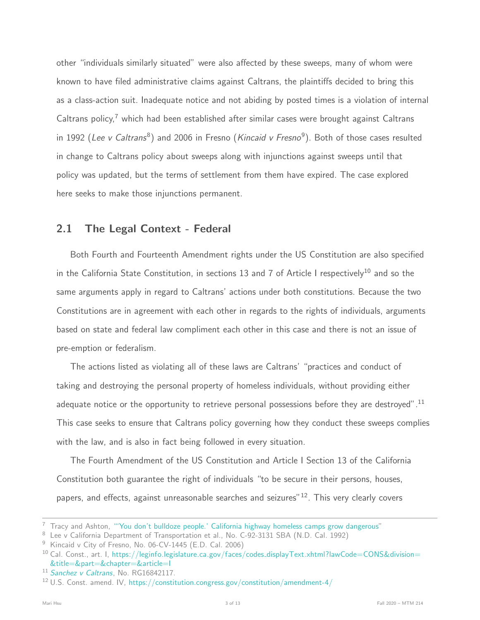other "individuals similarly situated" were also affected by these sweeps, many of whom were known to have filed administrative claims against Caltrans, the plaintiffs decided to bring this as a class-action suit. Inadequate notice and not abiding by posted times is a violation of internal Caltrans policy,<sup>7</sup> which had been established after similar cases were brought against Caltrans in 1992 (*Lee v Caltrans* $^8$ ) and 2006 in Fresno (*Kincaid v Fresno* $^9$ ). Both of those cases resulted in change to Caltrans policy about sweeps along with injunctions against sweeps until that policy was updated, but the terms of settlement from them have expired. The case explored here seeks to make those injunctions permanent.

#### 2.1 The Legal Context - Federal

Both Fourth and Fourteenth Amendment rights under the US Constitution are also specified in the California State Constitution, in sections 13 and 7 of Article I respectively<sup>10</sup> and so the same arguments apply in regard to Caltrans' actions under both constitutions. Because the two Constitutions are in agreement with each other in regards to the rights of individuals, arguments based on state and federal law compliment each other in this case and there is not an issue of pre-emption or federalism.

The actions listed as violating all of these laws are Caltrans' "practices and conduct of taking and destroying the personal property of homeless individuals, without providing either adequate notice or the opportunity to retrieve personal possessions before they are destroyed".<sup>11</sup> This case seeks to ensure that Caltrans policy governing how they conduct these sweeps complies with the law, and is also in fact being followed in every situation.

The Fourth Amendment of the US Constitution and Article I Section 13 of the California Constitution both guarantee the right of individuals "to be secure in their persons, houses, papers, and effects, against unreasonable searches and seizures" $12$ . This very clearly covers

 $7$  Tracy and Ashton, ["'You don't bulldoze people.' California highway homeless camps grow dangerous"](#page-0-0)

<sup>&</sup>lt;sup>8</sup> Lee v California Department of Transportation et al., No. C-92-3131 SBA (N.D. Cal. 1992)

<sup>&</sup>lt;sup>9</sup> Kincaid v City of Fresno, No. 06-CV-1445 (E.D. Cal. 2006)

<sup>&</sup>lt;sup>10</sup> Cal. Const., art. I, https://leginfo.legislature.ca.gov/faces/codes\_[displayText.xhtml?lawCode=CONS&division=](https://leginfo.legislature.ca.gov/faces/codes_displayText.xhtml?lawCode=CONS&division=&title=&part=&chapter=&article=I) [&title=&part=&chapter=&article=I](https://leginfo.legislature.ca.gov/faces/codes_displayText.xhtml?lawCode=CONS&division=&title=&part=&chapter=&article=I)

<sup>&</sup>lt;sup>11</sup> [Sanchez v Caltrans](#page-1-0), No. RG16842117.

<sup>12</sup> U.S. Const. amend. IV, <https://constitution.congress.gov/constitution/amendment-4/>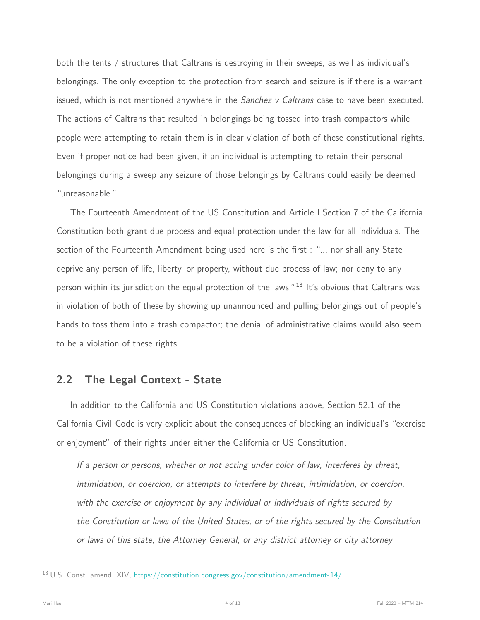both the tents / structures that Caltrans is destroying in their sweeps, as well as individual's belongings. The only exception to the protection from search and seizure is if there is a warrant issued, which is not mentioned anywhere in the *Sanchez v Caltrans* case to have been executed. The actions of Caltrans that resulted in belongings being tossed into trash compactors while people were attempting to retain them is in clear violation of both of these constitutional rights. Even if proper notice had been given, if an individual is attempting to retain their personal belongings during a sweep any seizure of those belongings by Caltrans could easily be deemed "unreasonable."

The Fourteenth Amendment of the US Constitution and Article I Section 7 of the California Constitution both grant due process and equal protection under the law for all individuals. The section of the Fourteenth Amendment being used here is the first : "... nor shall any State deprive any person of life, liberty, or property, without due process of law; nor deny to any person within its jurisdiction the equal protection of the laws."<sup>13</sup> It's obvious that Caltrans was in violation of both of these by showing up unannounced and pulling belongings out of people's hands to toss them into a trash compactor; the denial of administrative claims would also seem to be a violation of these rights.

#### 2.2 The Legal Context - State

In addition to the California and US Constitution violations above, Section 52.1 of the California Civil Code is very explicit about the consequences of blocking an individual's "exercise or enjoyment" of their rights under either the California or US Constitution.

If a person or persons, whether or not acting under color of law, interferes by threat, intimidation, or coercion, or attempts to interfere by threat, intimidation, or coercion, with the exercise or enjoyment by any individual or individuals of rights secured by the Constitution or laws of the United States, or of the rights secured by the Constitution or laws of this state, the Attorney General, or any district attorney or city attorney

<sup>13</sup> U.S. Const. amend. XIV, <https://constitution.congress.gov/constitution/amendment-14/>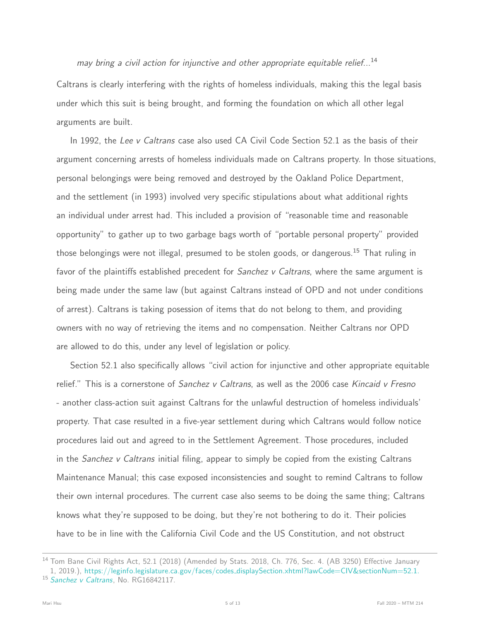#### may bring a civil action for injunctive and other appropriate equitable relief...<sup>14</sup>

Caltrans is clearly interfering with the rights of homeless individuals, making this the legal basis under which this suit is being brought, and forming the foundation on which all other legal arguments are built.

In 1992, the Lee v Caltrans case also used CA Civil Code Section 52.1 as the basis of their argument concerning arrests of homeless individuals made on Caltrans property. In those situations, personal belongings were being removed and destroyed by the Oakland Police Department, and the settlement (in 1993) involved very specific stipulations about what additional rights an individual under arrest had. This included a provision of "reasonable time and reasonable opportunity" to gather up to two garbage bags worth of "portable personal property" provided those belongings were not illegal, presumed to be stolen goods, or dangerous.<sup>15</sup> That ruling in favor of the plaintiffs established precedent for *Sanchez v Caltrans*, where the same argument is being made under the same law (but against Caltrans instead of OPD and not under conditions of arrest). Caltrans is taking posession of items that do not belong to them, and providing owners with no way of retrieving the items and no compensation. Neither Caltrans nor OPD are allowed to do this, under any level of legislation or policy.

Section 52.1 also specifically allows "civil action for injunctive and other appropriate equitable relief." This is a cornerstone of *Sanchez v Caltrans*, as well as the 2006 case Kincaid v Fresno - another class-action suit against Caltrans for the unlawful destruction of homeless individuals' property. That case resulted in a five-year settlement during which Caltrans would follow notice procedures laid out and agreed to in the Settlement Agreement. Those procedures, included in the Sanchez v Caltrans initial filing, appear to simply be copied from the existing Caltrans Maintenance Manual; this case exposed inconsistencies and sought to remind Caltrans to follow their own internal procedures. The current case also seems to be doing the same thing; Caltrans knows what they're supposed to be doing, but they're not bothering to do it. Their policies have to be in line with the California Civil Code and the US Constitution, and not obstruct

<sup>&</sup>lt;sup>14</sup> Tom Bane Civil Rights Act, 52.1 (2018) (Amended by Stats. 2018, Ch. 776, Sec. 4. (AB 3250) Effective January 1, 2019.), https://leginfo.legislature.ca.gov/faces/codes\_[displaySection.xhtml?lawCode=CIV&sectionNum=52.1.](https://leginfo.legislature.ca.gov/faces/codes_displaySection.xhtml?lawCode=CIV§ionNum=52.1.) <sup>15</sup> [Sanchez v Caltrans](#page-1-0), No. RG16842117.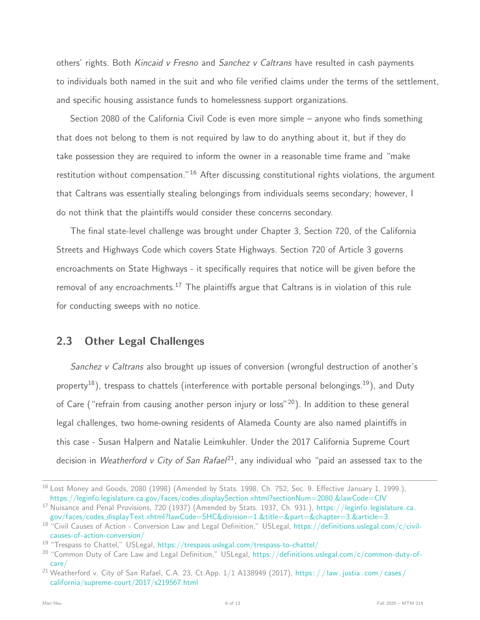others' rights. Both Kincaid v Fresno and Sanchez v Caltrans have resulted in cash payments to individuals both named in the suit and who file verified claims under the terms of the settlement, and specific housing assistance funds to homelessness support organizations.

Section 2080 of the California Civil Code is even more simple – anyone who finds something that does not belong to them is not required by law to do anything about it, but if they do take possession they are required to inform the owner in a reasonable time frame and "make restitution without compensation."<sup>16</sup> After discussing constitutional rights violations, the argument that Caltrans was essentially stealing belongings from individuals seems secondary; however, I do not think that the plaintiffs would consider these concerns secondary.

The final state-level challenge was brought under Chapter 3, Section 720, of the California Streets and Highways Code which covers State Highways. Section 720 of Article 3 governs encroachments on State Highways - it specifically requires that notice will be given before the removal of any encroachments.<sup>17</sup> The plaintiffs argue that Caltrans is in violation of this rule for conducting sweeps with no notice.

#### 2.3 Other Legal Challenges

Sanchez v Caltrans also brought up issues of conversion (wrongful destruction of another's property<sup>18</sup>), trespass to chattels (interference with portable personal belongings.<sup>19</sup>), and Duty of Care ("refrain from causing another person injury or loss"<sup>20</sup>). In addition to these general legal challenges, two home-owning residents of Alameda County are also named plaintiffs in this case - Susan Halpern and Natalie Leimkuhler. Under the 2017 California Supreme Court decision in Weatherford v City of San Rafael<sup>21</sup>, any individual who "paid an assessed tax to the

<sup>&</sup>lt;sup>16</sup> Lost Money and Goods, 2080 (1998) (Amended by Stats. 1998, Ch. 752, Sec. 9. Effective January 1, 1999.), https://leginfo.legislature.ca.gov/faces/codes [displaySection.xhtml?sectionNum=2080.&lawCode=CIV](https://leginfo.legislature.ca.gov/faces/codes_displaySection.xhtml?sectionNum=2080.&lawCode=CIV)

<sup>&</sup>lt;sup>17</sup> Nuisance and Penal Provisions, 720 (1937) (Amended by Stats. 1937, Ch. 931.), [https://leginfo.legislature.ca.](https://leginfo.legislature.ca.gov/faces/codes_displayText.xhtml?lawCode=SHC&division=1.&title=&part=&chapter=3.&article=3.) gov/faces/codes [displayText.xhtml?lawCode=SHC&division=1.&title=&part=&chapter=3.&article=3.](https://leginfo.legislature.ca.gov/faces/codes_displayText.xhtml?lawCode=SHC&division=1.&title=&part=&chapter=3.&article=3.)

<sup>&</sup>lt;sup>18</sup> "Civil Causes of Action - Conversion Law and Legal Definition," USLegal, [https://definitions.uslegal.com/c/civil](https://definitions.uslegal.com/c/civil-causes-of-action-conversion/)[causes-of-action-conversion/](https://definitions.uslegal.com/c/civil-causes-of-action-conversion/)

 $19$  "Trespass to Chattel," USLegal, <https://trespass.uslegal.com/trespass-to-chattel/>

<sup>&</sup>lt;sup>20</sup> "Common Duty of Care Law and Legal Definition," USLegal, [https://definitions.uslegal.com/c/common-duty-of](https://definitions.uslegal.com/c/common-duty-of-care/)[care/](https://definitions.uslegal.com/c/common-duty-of-care/)

<sup>&</sup>lt;sup>21</sup> Weatherford v. City of San Rafael, C.A. 23, Ct.App.  $1/1$  A138949 (2017), https: //law.justia.com/cases/ [california/supreme-court/2017/s219567.html](https://law.justia.com/cases/california/supreme-court/2017/s219567.html)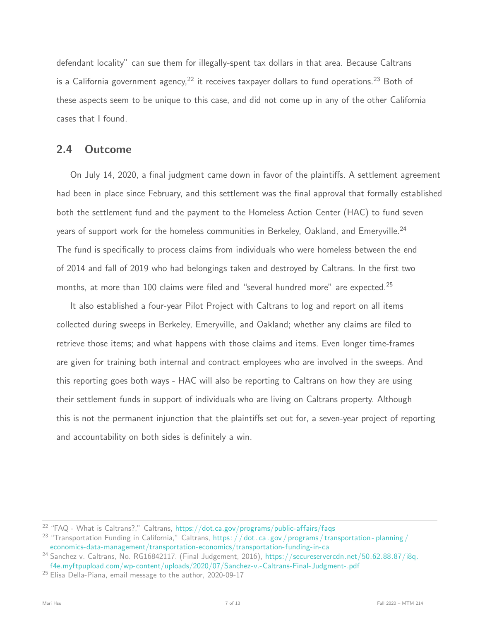defendant locality" can sue them for illegally-spent tax dollars in that area. Because Caltrans is a California government agency,  $22$  it receives taxpayer dollars to fund operations.  $23$  Both of these aspects seem to be unique to this case, and did not come up in any of the other California cases that I found.

#### 2.4 Outcome

On July 14, 2020, a final judgment came down in favor of the plaintiffs. A settlement agreement had been in place since February, and this settlement was the final approval that formally established both the settlement fund and the payment to the Homeless Action Center (HAC) to fund seven years of support work for the homeless communities in Berkeley, Oakland, and Emeryville.<sup>24</sup> The fund is specifically to process claims from individuals who were homeless between the end of 2014 and fall of 2019 who had belongings taken and destroyed by Caltrans. In the first two months, at more than 100 claims were filed and "several hundred more" are expected.<sup>25</sup>

It also established a four-year Pilot Project with Caltrans to log and report on all items collected during sweeps in Berkeley, Emeryville, and Oakland; whether any claims are filed to retrieve those items; and what happens with those claims and items. Even longer time-frames are given for training both internal and contract employees who are involved in the sweeps. And this reporting goes both ways - HAC will also be reporting to Caltrans on how they are using their settlement funds in support of individuals who are living on Caltrans property. Although this is not the permanent injunction that the plaintiffs set out for, a seven-year project of reporting and accountability on both sides is definitely a win.

 $22$  "FAQ - What is Caltrans?," Caltrans, <https://dot.ca.gov/programs/public-affairs/faqs>

<sup>&</sup>lt;sup>23</sup> "Transportation Funding in California," Caltrans, https:  $//$  dot. ca. gov / programs / transportation-planning / [economics-data-management/transportation-economics/transportation-funding-in-ca](https://dot.ca.gov/programs/transportation-planning/economics-data-management/transportation-economics/transportation-funding-in-ca)

<sup>&</sup>lt;sup>24</sup> Sanchez v. Caltrans, No. RG16842117. (Final Judgement, 2016), [https://secureservercdn.net/50.62.88.87/i8q.](https://secureservercdn.net/50.62.88.87/i8q.f4e.myftpupload.com/wp-content/uploads/2020/07/Sanchez-v.-Caltrans-Final-Judgment-.pdf) [f4e.myftpupload.com/wp-content/uploads/2020/07/Sanchez-v.-Caltrans-Final-Judgment-.pdf](https://secureservercdn.net/50.62.88.87/i8q.f4e.myftpupload.com/wp-content/uploads/2020/07/Sanchez-v.-Caltrans-Final-Judgment-.pdf)

<sup>&</sup>lt;sup>25</sup> Elisa Della-Piana, email message to the author, 2020-09-17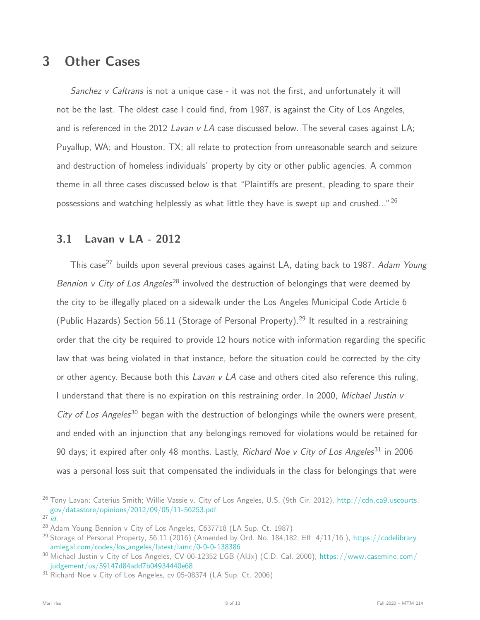# 3 Other Cases

Sanchez v Caltrans is not a unique case - it was not the first, and unfortunately it will not be the last. The oldest case I could find, from 1987, is against the City of Los Angeles, and is referenced in the 2012 Lavan v LA case discussed below. The several cases against LA; Puyallup, WA; and Houston, TX; all relate to protection from unreasonable search and seizure and destruction of homeless individuals' property by city or other public agencies. A common theme in all three cases discussed below is that "Plaintiffs are present, pleading to spare their possessions and watching helplessly as what little they have is swept up and crushed..."<sup>26</sup>

### 3.1 Lavan v LA - 2012

This case<sup>27</sup> builds upon several previous cases against LA, dating back to 1987. Adam Young Bennion v City of Los Angeles<sup>28</sup> involved the destruction of belongings that were deemed by the city to be illegally placed on a sidewalk under the Los Angeles Municipal Code Article 6 (Public Hazards) Section 56.11 (Storage of Personal Property).<sup>29</sup> It resulted in a restraining order that the city be required to provide 12 hours notice with information regarding the specific law that was being violated in that instance, before the situation could be corrected by the city or other agency. Because both this *Lavan v LA* case and others cited also reference this ruling, I understand that there is no expiration on this restraining order. In 2000, Michael Justin v City of Los Angeles<sup>30</sup> began with the destruction of belongings while the owners were present, and ended with an injunction that any belongings removed for violations would be retained for 90 days; it expired after only 48 months. Lastly, Richard Noe v City of Los Angeles<sup>31</sup> in 2006 was a personal loss suit that compensated the individuals in the class for belongings that were

<span id="page-7-0"></span><sup>&</sup>lt;sup>26</sup> Tony Lavan; Caterius Smith; Willie Vassie v. City of Los Angeles, U.S. (9th Cir. 2012), [http://cdn.ca9.uscourts.](http://cdn.ca9.uscourts.gov/datastore/opinions/2012/09/05/11-56253.pdf) [gov/datastore/opinions/2012/09/05/11-56253.pdf](http://cdn.ca9.uscourts.gov/datastore/opinions/2012/09/05/11-56253.pdf)

 $27$  [id.](#page-7-0)

<sup>&</sup>lt;sup>28</sup> Adam Young Bennion v City of Los Angeles, C637718 (LA Sup. Ct. 1987)

<sup>&</sup>lt;sup>29</sup> Storage of Personal Property, 56.11 (2016) (Amended by Ord. No. 184,182, Eff. 4/11/16.), [https://codelibrary.](https://codelibrary.amlegal.com/codes/los_angeles/latest/lamc/0-0-0-138386) amlegal.com/codes/los [angeles/latest/lamc/0-0-0-138386](https://codelibrary.amlegal.com/codes/los_angeles/latest/lamc/0-0-0-138386)

<sup>30</sup> Michael Justin v City of Los Angeles, CV 00-12352 LGB (AIJx) (C.D. Cal. 2000), [https://www.casemine.com/](https://www.casemine.com/judgement/us/59147d84add7b04934440e68) [judgement/us/59147d84add7b04934440e68](https://www.casemine.com/judgement/us/59147d84add7b04934440e68)

<sup>31</sup> Richard Noe v City of Los Angeles, cv 05-08374 (LA Sup. Ct. 2006)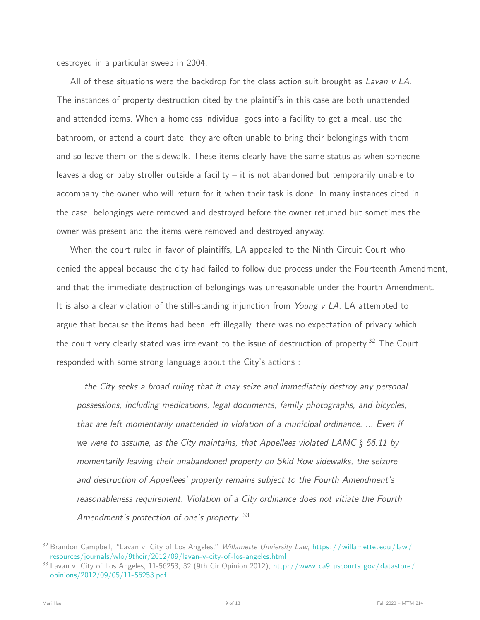destroyed in a particular sweep in 2004.

All of these situations were the backdrop for the class action suit brought as Lavan v LA. The instances of property destruction cited by the plaintiffs in this case are both unattended and attended items. When a homeless individual goes into a facility to get a meal, use the bathroom, or attend a court date, they are often unable to bring their belongings with them and so leave them on the sidewalk. These items clearly have the same status as when someone leaves a dog or baby stroller outside a facility  $-$  it is not abandoned but temporarily unable to accompany the owner who will return for it when their task is done. In many instances cited in the case, belongings were removed and destroyed before the owner returned but sometimes the owner was present and the items were removed and destroyed anyway.

When the court ruled in favor of plaintiffs, LA appealed to the Ninth Circuit Court who denied the appeal because the city had failed to follow due process under the Fourteenth Amendment, and that the immediate destruction of belongings was unreasonable under the Fourth Amendment. It is also a clear violation of the still-standing injunction from Young  $v$  LA. LA attempted to argue that because the items had been left illegally, there was no expectation of privacy which the court very clearly stated was irrelevant to the issue of destruction of property.<sup>32</sup> The Court responded with some strong language about the City's actions :

...the City seeks a broad ruling that it may seize and immediately destroy any personal possessions, including medications, legal documents, family photographs, and bicycles, that are left momentarily unattended in violation of a municipal ordinance. ... Even if we were to assume, as the City maintains, that Appellees violated LAMC  $\S$  56.11 by momentarily leaving their unabandoned property on Skid Row sidewalks, the seizure and destruction of Appellees' property remains subject to the Fourth Amendment's reasonableness requirement. Violation of a City ordinance does not vitiate the Fourth Amendment's protection of one's property. 33

<sup>32</sup> Brandon Campbell, "Lavan v. City of Los Angeles," Willamette Unviersity Law, https://willamette.edu/law/ [resources/journals/wlo/9thcir/2012/09/lavan-v-city-of-los-angeles.html](https://willamette.edu/law/resources/journals/wlo/9thcir/2012/09/lavan-v-city-of-los-angeles.html)

<sup>33</sup> Lavan v. City of Los Angeles, 11-56253, 32 (9th Cir.Opinion 2012), [http://www.ca9.uscourts.gov/datastore/](http://www.ca9.uscourts.gov/datastore/opinions/2012/09/05/11-56253.pdf) [opinions/2012/09/05/11-56253.pdf](http://www.ca9.uscourts.gov/datastore/opinions/2012/09/05/11-56253.pdf)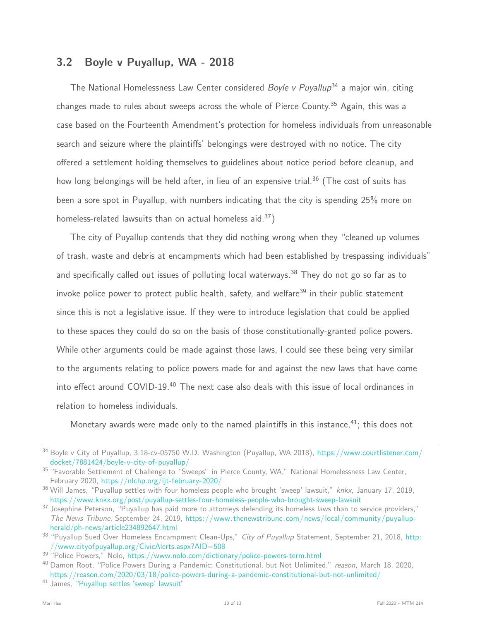### 3.2 Boyle v Puyallup, WA - 2018

The National Homelessness Law Center considered *Boyle v Puyallup*<sup>34</sup> a major win, citing changes made to rules about sweeps across the whole of Pierce County.<sup>35</sup> Again, this was a case based on the Fourteenth Amendment's protection for homeless individuals from unreasonable search and seizure where the plaintiffs' belongings were destroyed with no notice. The city offered a settlement holding themselves to guidelines about notice period before cleanup, and how long belongings will be held after, in lieu of an expensive trial.<sup>36</sup> (The cost of suits has been a sore spot in Puyallup, with numbers indicating that the city is spending 25% more on homeless-related lawsuits than on actual homeless aid.<sup>37</sup>)

The city of Puyallup contends that they did nothing wrong when they "cleaned up volumes of trash, waste and debris at encampments which had been established by trespassing individuals" and specifically called out issues of polluting local waterways.<sup>38</sup> They do not go so far as to invoke police power to protect public health, safety, and welfare<sup>39</sup> in their public statement since this is not a legislative issue. If they were to introduce legislation that could be applied to these spaces they could do so on the basis of those constitutionally-granted police powers. While other arguments could be made against those laws, I could see these being very similar to the arguments relating to police powers made for and against the new laws that have come into effect around COVID-19.<sup>40</sup> The next case also deals with this issue of local ordinances in relation to homeless individuals.

Monetary awards were made only to the named plaintiffs in this instance,  $41$ ; this does not

<sup>34</sup> Boyle v City of Puyallup, 3:18-cv-05750 W.D. Washington (Puyallup, WA 2018), [https://www.courtlistener.com/](https://www.courtlistener.com/docket/7881424/boyle-v-city-of-puyallup/) [docket/7881424/boyle-v-city-of-puyallup/](https://www.courtlistener.com/docket/7881424/boyle-v-city-of-puyallup/)

<sup>&</sup>lt;sup>35</sup> "Favorable Settlement of Challenge to "Sweeps" in Pierce County, WA," National Homelessness Law Center, February 2020, <https://nlchp.org/ijt-february-2020/>

<span id="page-9-0"></span> $36$  Will James, "Puyallup settles with four homeless people who brought 'sweep' lawsuit," knkx, January 17, 2019, <https://www.knkx.org/post/puyallup-settles-four-homeless-people-who-brought-sweep-lawsuit>

<sup>&</sup>lt;sup>37</sup> Josephine Peterson, "Puyallup has paid more to attorneys defending its homeless laws than to service providers," The News Tribune, September 24, 2019, [https://www.thenewstribune.com/news/local/community/puyallup](https://www.thenewstribune.com/news/local/community/puyallup-herald/ph-news/article234892647.html)[herald/ph-news/article234892647.html](https://www.thenewstribune.com/news/local/community/puyallup-herald/ph-news/article234892647.html)

<sup>&</sup>lt;sup>38</sup> "Puyallup Sued Over Homeless Encampment Clean-Ups," City of Puyallup Statement, September 21, 2018, [http:](http://www.cityofpuyallup.org/CivicAlerts.aspx?AID=508) [//www.cityofpuyallup.org/CivicAlerts.aspx?AID=508](http://www.cityofpuyallup.org/CivicAlerts.aspx?AID=508)

<sup>&</sup>lt;sup>39 "</sup>Police Powers," Nolo, <https://www.nolo.com/dictionary/police-powers-term.html>

<sup>&</sup>lt;sup>40</sup> Damon Root, "Police Powers During a Pandemic: Constitutional, but Not Unlimited," reason, March 18, 2020, <https://reason.com/2020/03/18/police-powers-during-a-pandemic-constitutional-but-not-unlimited/>

<sup>41</sup> James, ["Puyallup settles 'sweep' lawsuit"](#page-9-0)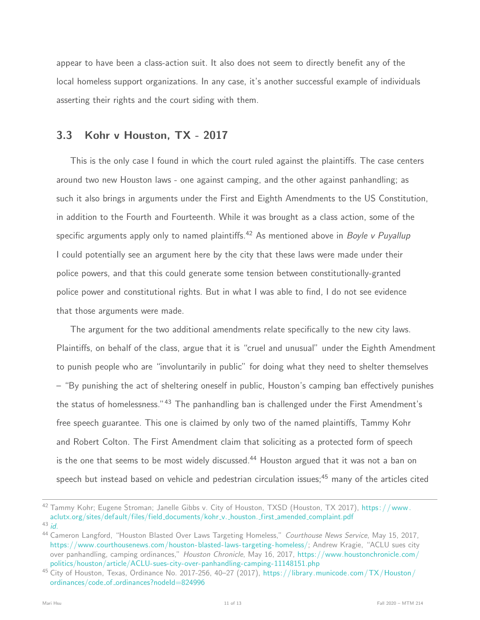appear to have been a class-action suit. It also does not seem to directly benefit any of the local homeless support organizations. In any case, it's another successful example of individuals asserting their rights and the court siding with them.

#### 3.3 Kohr v Houston, TX - 2017

This is the only case I found in which the court ruled against the plaintiffs. The case centers around two new Houston laws - one against camping, and the other against panhandling; as such it also brings in arguments under the First and Eighth Amendments to the US Constitution, in addition to the Fourth and Fourteenth. While it was brought as a class action, some of the specific arguments apply only to named plaintiffs.<sup>42</sup> As mentioned above in *Boyle v Puyallup* I could potentially see an argument here by the city that these laws were made under their police powers, and that this could generate some tension between constitutionally-granted police power and constitutional rights. But in what I was able to find, I do not see evidence that those arguments were made.

The argument for the two additional amendments relate specifically to the new city laws. Plaintiffs, on behalf of the class, argue that it is "cruel and unusual" under the Eighth Amendment to punish people who are "involuntarily in public" for doing what they need to shelter themselves – "By punishing the act of sheltering oneself in public, Houston's camping ban effectively punishes the status of homelessness."<sup>43</sup> The panhandling ban is challenged under the First Amendment's free speech guarantee. This one is claimed by only two of the named plaintiffs, Tammy Kohr and Robert Colton. The First Amendment claim that soliciting as a protected form of speech is the one that seems to be most widely discussed.<sup>44</sup> Houston argued that it was not a ban on speech but instead based on vehicle and pedestrian circulation issues:<sup>45</sup> many of the articles cited

<span id="page-10-0"></span><sup>42</sup> Tammy Kohr; Eugene Stroman; Janelle Gibbs v. City of Houston, TXSD (Houston, TX 2017), https://www. [aclutx.org/sites/default/files/field](https://www.aclutx.org/sites/default/files/field_documents/kohr_v._houston._first_amended_complaint.pdf) documents/kohr v. houston. first amended complaint.pdf

<sup>43</sup> [id.](#page-10-0)

<span id="page-10-1"></span><sup>&</sup>lt;sup>44</sup> Cameron Langford, "Houston Blasted Over Laws Targeting Homeless," Courthouse News Service, May 15, 2017, [https://www.courthousenews.com/houston-blasted-laws-targeting-homeless/;](https://www.courthousenews.com/houston-blasted-laws-targeting-homeless/) Andrew Kragie, "ACLU sues city over panhandling, camping ordinances," Houston Chronicle, May 16, 2017, [https://www.houstonchronicle.com/](https://www.houstonchronicle.com/politics/houston/article/ACLU-sues-city-over-panhandling-camping-11148151.php) [politics/houston/article/ACLU-sues-city-over-panhandling-camping-11148151.php](https://www.houstonchronicle.com/politics/houston/article/ACLU-sues-city-over-panhandling-camping-11148151.php)

<sup>45</sup> City of Houston, Texas, Ordinance No. 2017-256, 40–27 (2017), [https://library.municode.com/TX/Houston/](https://library.municode.com/TX/Houston/ordinances/code_of_ordinances?nodeId=824996) ordinances/code\_of\_[ordinances?nodeId=824996](https://library.municode.com/TX/Houston/ordinances/code_of_ordinances?nodeId=824996)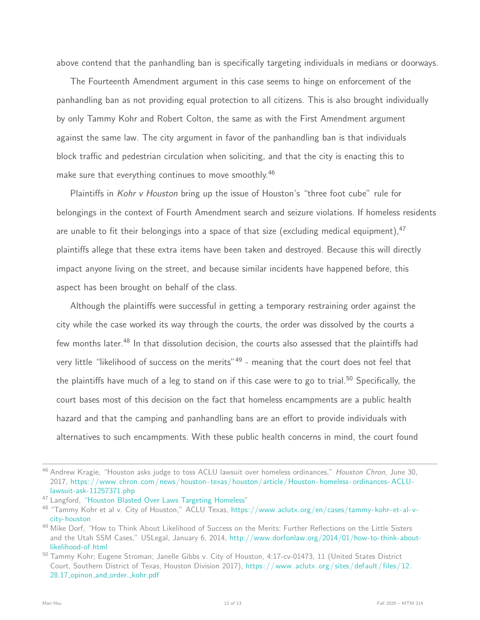above contend that the panhandling ban is specifically targeting individuals in medians or doorways.

The Fourteenth Amendment argument in this case seems to hinge on enforcement of the panhandling ban as not providing equal protection to all citizens. This is also brought individually by only Tammy Kohr and Robert Colton, the same as with the First Amendment argument against the same law. The city argument in favor of the panhandling ban is that individuals block traffic and pedestrian circulation when soliciting, and that the city is enacting this to make sure that everything continues to move smoothly.<sup>46</sup>

Plaintiffs in Kohr v Houston bring up the issue of Houston's "three foot cube" rule for belongings in the context of Fourth Amendment search and seizure violations. If homeless residents are unable to fit their belongings into a space of that size (excluding medical equipment),  $47$ plaintiffs allege that these extra items have been taken and destroyed. Because this will directly impact anyone living on the street, and because similar incidents have happened before, this aspect has been brought on behalf of the class.

Although the plaintiffs were successful in getting a temporary restraining order against the city while the case worked its way through the courts, the order was dissolved by the courts a few months later.<sup>48</sup> In that dissolution decision, the courts also assessed that the plaintiffs had very little "likelihood of success on the merits"<sup>49</sup> - meaning that the court does not feel that the plaintiffs have much of a leg to stand on if this case were to go to trial.<sup>50</sup> Specifically, the court bases most of this decision on the fact that homeless encampments are a public health hazard and that the camping and panhandling bans are an effort to provide individuals with alternatives to such encampments. With these public health concerns in mind, the court found

<sup>&</sup>lt;sup>46</sup> Andrew Kragie, "Houston asks judge to toss ACLU lawsuit over homeless ordinances," Houston Chron, June 30, 2017, [https://www.chron.com/news/houston- texas/houston/article/Houston- homeless- ordinances-ACLU](https://www.chron.com/news/houston-texas/houston/article/Houston-homeless-ordinances-ACLU-lawsuit-ask-11257371.php)[lawsuit-ask-11257371.php](https://www.chron.com/news/houston-texas/houston/article/Houston-homeless-ordinances-ACLU-lawsuit-ask-11257371.php)

<sup>&</sup>lt;sup>47</sup> Langford, ["Houston Blasted Over Laws Targeting Homeless"](#page-10-1)

<sup>48</sup> "Tammy Kohr et al v. City of Houston," ACLU Texas, [https://www.aclutx.org/en/cases/tammy-kohr-et-al-v](https://www.aclutx.org/en/cases/tammy-kohr-et-al-v-city-houston)[city-houston](https://www.aclutx.org/en/cases/tammy-kohr-et-al-v-city-houston)

<sup>&</sup>lt;sup>49</sup> Mike Dorf, "How to Think About Likelihood of Success on the Merits: Further Reflections on the Little Sisters and the Utah SSM Cases," USLegal, January 6, 2014, [http://www.dorfonlaw.org/2014/01/how-to-think-about](http://www.dorfonlaw.org/2014/01/how-to-think-about-likelihood-of.html)[likelihood-of.html](http://www.dorfonlaw.org/2014/01/how-to-think-about-likelihood-of.html)

<span id="page-11-0"></span><sup>&</sup>lt;sup>50</sup> Tammy Kohr; Eugene Stroman; Janelle Gibbs v. City of Houston, 4:17-cv-01473, 11 (United States District Court, Southern District of Texas, Houston Division 2017), [https:/ /www.aclutx. org / sites /default/ files /12.](https://www.aclutx.org/sites/default/files/12.28.17_opinon_and_order._kohr.pdf) 28.17\_opinon\_and\_order.\_[kohr.pdf](https://www.aclutx.org/sites/default/files/12.28.17_opinon_and_order._kohr.pdf)